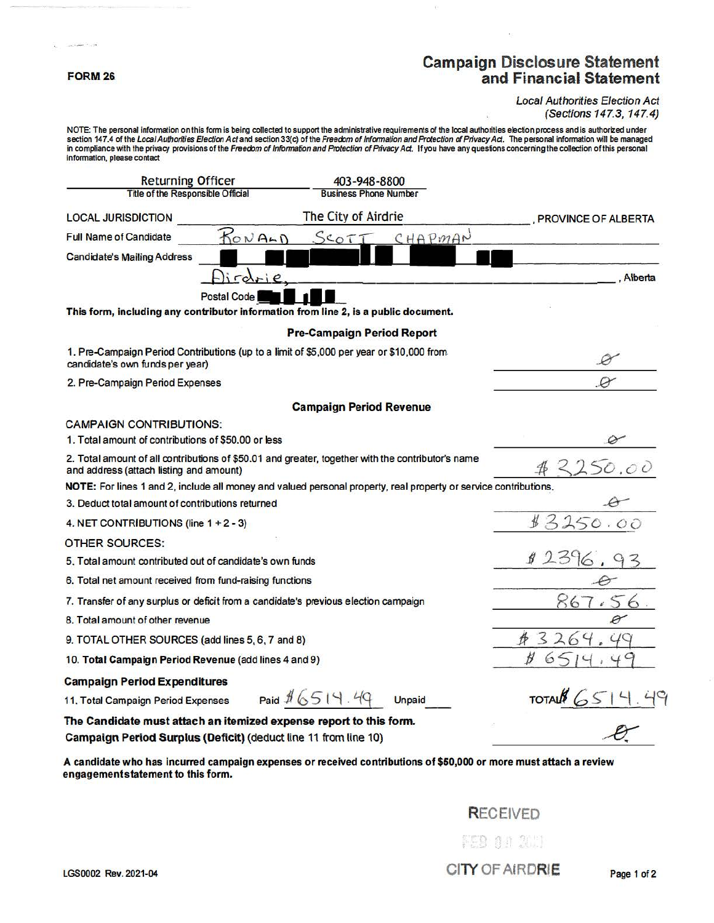#### **FORM26**

 $\sim$   $\sim$ 

## **Campaign Disclosure Statement and Financial Statement**

#### Local Authorities Election Act (Sections 147.3, 147.4)

NOTE: The personal information on this form is being collected to support the administrative requirements of the local authorities election process and is authorized under section 147.4 of the Local Authorities Election Act and section 33(c) of the Freedom of Information and Protection of Privacy Act. The personal information will be managed in compliance with the privacy provisions of the Freedom of information and Protection of Privacy Act. If you have any questions concerning the collection of this personal information, please contact

| <b>Returning Officer</b>                                                                                                              | 403-948-8800                                                                                                     |                            |
|---------------------------------------------------------------------------------------------------------------------------------------|------------------------------------------------------------------------------------------------------------------|----------------------------|
| Title of the Responsible Official                                                                                                     | <b>Business Phone Number</b>                                                                                     |                            |
| <b>LOCAL JURISDICTION</b>                                                                                                             | The City of Airdrie                                                                                              | <b>PROVINCE OF ALBERTA</b> |
| <b>Full Name of Candidate</b>                                                                                                         | CHAPMAN<br>KONALD<br>SCOTI                                                                                       |                            |
| <b>Candidate's Mailing Address</b>                                                                                                    |                                                                                                                  |                            |
| lirds                                                                                                                                 |                                                                                                                  | Alberta                    |
| <b>Postal Code</b>                                                                                                                    |                                                                                                                  |                            |
|                                                                                                                                       | This form, including any contributor information from line 2, is a public document.                              |                            |
|                                                                                                                                       | <b>Pre-Campaign Period Report</b>                                                                                |                            |
| 1. Pre-Campaign Period Contributions (up to a limit of \$5,000 per year or \$10,000 from<br>candidate's own funds per year)           |                                                                                                                  |                            |
| 2. Pre-Campaign Period Expenses                                                                                                       |                                                                                                                  |                            |
|                                                                                                                                       | <b>Campaign Period Revenue</b>                                                                                   |                            |
| <b>CAMPAIGN CONTRIBUTIONS:</b>                                                                                                        |                                                                                                                  |                            |
| 1. Total amount of contributions of \$50,00 or less                                                                                   |                                                                                                                  |                            |
| and address (attach listing and amount)                                                                                               | 2. Total amount of all contributions of \$50.01 and greater, together with the contributor's name                | 50.00                      |
|                                                                                                                                       | NOTE: For lines 1 and 2, include all money and valued personal property, real property or service contributions, |                            |
| 3. Deduct total amount of contributions returned                                                                                      |                                                                                                                  |                            |
| 4. NET CONTRIBUTIONS (line 1 + 2 - 3)                                                                                                 |                                                                                                                  | 13250.00                   |
| <b>OTHER SOURCES:</b>                                                                                                                 |                                                                                                                  |                            |
| 5. Total amount contributed out of candidate's own funds                                                                              | 2396.                                                                                                            |                            |
| 6. Total net amount received from fund-raising functions                                                                              |                                                                                                                  |                            |
| 7. Transfer of any surplus or deficit from a candidate's previous election campaign                                                   | 867.56                                                                                                           |                            |
| 8. Total amount of other revenue                                                                                                      |                                                                                                                  | Ø                          |
| 9. TOTAL OTHER SOURCES (add lines 5, 6, 7 and 8)                                                                                      | 3<br>$\circ$                                                                                                     |                            |
| 10. Total Campaign Period Revenue (add lines 4 and 9)                                                                                 |                                                                                                                  |                            |
| <b>Campaign Period Expenditures</b>                                                                                                   |                                                                                                                  |                            |
| 11. Total Campaign Period Expenses                                                                                                    | Paid \$ 6514.49<br><b>Unpaid</b>                                                                                 | TOTAL 651                  |
| The Candidate must attach an itemized expense report to this form.<br>Campaign Period Surplus (Deficit) (deduct line 11 from line 10) |                                                                                                                  |                            |

A candidate who has incurred campaign expenses or received contributions of **\$50,000** or more must attach a review engagementstatement to this form.

## RECEIVED

FEB 04 200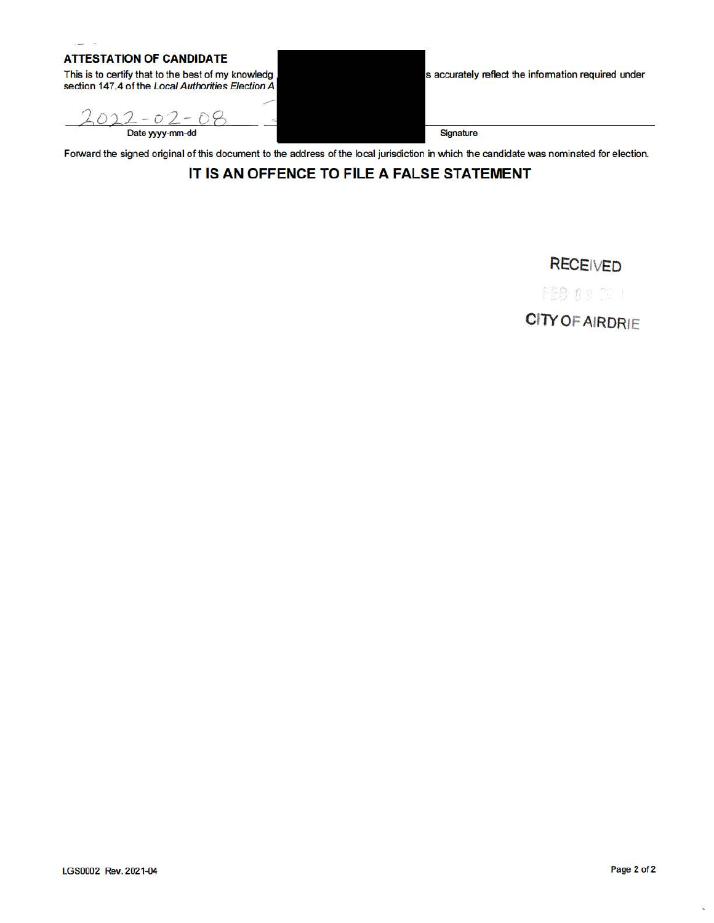### **ATTESTATION OF CANDIDATE**

 $\sim$ 

This is to certify that to the best of my knowledg section 147.4 of the Local Authorities Election A

 $022 - 02 - 08$ <br>Date yyyy-mm-dd

s accurately reflect the information required under

**Signature** 

Forward the signed original of this document to the address of the local jurisdiction in which the candidate was nominated for election.

## **IT IS AN OFFENCE TO FILE A FALSE STATEMENT**

**RECEIVED** 

FEB 03 12 1

**CITY OF** AIRDRIE

Q